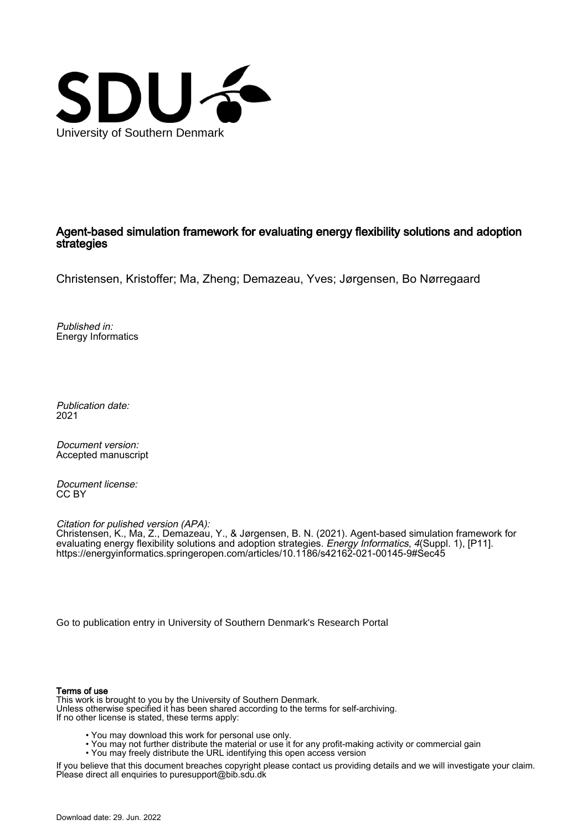

## Agent-based simulation framework for evaluating energy flexibility solutions and adoption strategies

Christensen, Kristoffer; Ma, Zheng; Demazeau, Yves; Jørgensen, Bo Nørregaard

Published in: Energy Informatics

Publication date: 2021

Document version: Accepted manuscript

Document license: CC BY

Citation for pulished version (APA): Christensen, K., Ma, Z., Demazeau, Y., & Jørgensen, B. N. (2021). Agent-based simulation framework for evaluating energy flexibility solutions and adoption strategies. *Energy Informatics*, *4*(Suppl. 1), [P11]. <https://energyinformatics.springeropen.com/articles/10.1186/s42162-021-00145-9#Sec45>

[Go to publication entry in University of Southern Denmark's Research Portal](https://portal.findresearcher.sdu.dk/en/publications/77fe9346-3a0d-4672-b3b0-af6cac8fa106)

#### Terms of use

This work is brought to you by the University of Southern Denmark. Unless otherwise specified it has been shared according to the terms for self-archiving. If no other license is stated, these terms apply:

- You may download this work for personal use only.
- You may not further distribute the material or use it for any profit-making activity or commercial gain
	- You may freely distribute the URL identifying this open access version

If you believe that this document breaches copyright please contact us providing details and we will investigate your claim. Please direct all enquiries to puresupport@bib.sdu.dk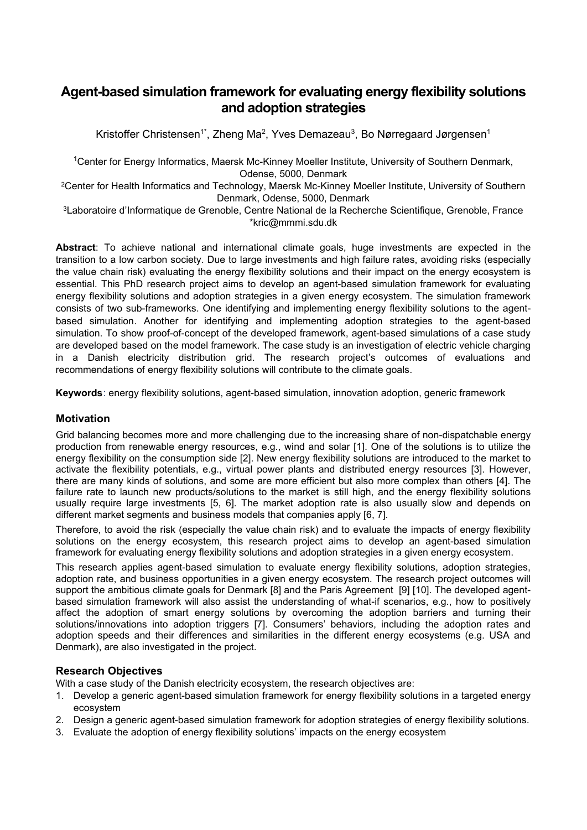# **Agent-based simulation framework for evaluating energy flexibility solutions and adoption strategies**

Kristoffer Christensen $^{\text{\tiny{\textsf{1}}}^*}$ , Zheng Ma $^{\text{\tiny{\textsf{2}}}}$ , Yves Demazeau $^{\text{\tiny{\textsf{3}}}}$ , Bo Nørregaard Jørgensen $^{\text{\tiny{\textsf{1}}}}$ 

<sup>1</sup>Center for Energy Informatics, Maersk Mc-Kinney Moeller Institute, University of Southern Denmark, Odense, 5000, Denmark

2Center for Health Informatics and Technology, Maersk Mc-Kinney Moeller Institute, University of Southern Denmark, Odense, 5000, Denmark

3Laboratoire d'Informatique de Grenoble, Centre National de la Recherche Scientifique, Grenoble, France \*kric@mmmi.sdu.dk

**Abstract**: To achieve national and international climate goals, huge investments are expected in the transition to a low carbon society. Due to large investments and high failure rates, avoiding risks (especially the value chain risk) evaluating the energy flexibility solutions and their impact on the energy ecosystem is essential. This PhD research project aims to develop an agent-based simulation framework for evaluating energy flexibility solutions and adoption strategies in a given energy ecosystem. The simulation framework consists of two sub-frameworks. One identifying and implementing energy flexibility solutions to the agentbased simulation. Another for identifying and implementing adoption strategies to the agent-based simulation. To show proof-of-concept of the developed framework, agent-based simulations of a case study are developed based on the model framework. The case study is an investigation of electric vehicle charging in a Danish electricity distribution grid. The research project's outcomes of evaluations and recommendations of energy flexibility solutions will contribute to the climate goals.

**Keywords**: energy flexibility solutions, agent-based simulation, innovation adoption, generic framework

## **Motivation**

Grid balancing becomes more and more challenging due to the increasing share of non-dispatchable energy production from renewable energy resources, e.g., wind and solar [1]. One of the solutions is to utilize the energy flexibility on the consumption side [2]. New energy flexibility solutions are introduced to the market to activate the flexibility potentials, e.g., virtual power plants and distributed energy resources [3]. However, there are many kinds of solutions, and some are more efficient but also more complex than others [4]. The failure rate to launch new products/solutions to the market is still high, and the energy flexibility solutions usually require large investments [5, 6]. The market adoption rate is also usually slow and depends on different market segments and business models that companies apply [6, 7].

Therefore, to avoid the risk (especially the value chain risk) and to evaluate the impacts of energy flexibility solutions on the energy ecosystem, this research project aims to develop an agent-based simulation framework for evaluating energy flexibility solutions and adoption strategies in a given energy ecosystem.

This research applies agent-based simulation to evaluate energy flexibility solutions, adoption strategies, adoption rate, and business opportunities in a given energy ecosystem. The research project outcomes will support the ambitious climate goals for Denmark [8] and the Paris Agreement [9] [10]. The developed agentbased simulation framework will also assist the understanding of what-if scenarios, e.g., how to positively affect the adoption of smart energy solutions by overcoming the adoption barriers and turning their solutions/innovations into adoption triggers [7]. Consumers' behaviors, including the adoption rates and adoption speeds and their differences and similarities in the different energy ecosystems (e.g. USA and Denmark), are also investigated in the project.

## **Research Objectives**

With a case study of the Danish electricity ecosystem, the research objectives are:

- 1. Develop a generic agent-based simulation framework for energy flexibility solutions in a targeted energy ecosystem
- 2. Design a generic agent-based simulation framework for adoption strategies of energy flexibility solutions.
- 3. Evaluate the adoption of energy flexibility solutions' impacts on the energy ecosystem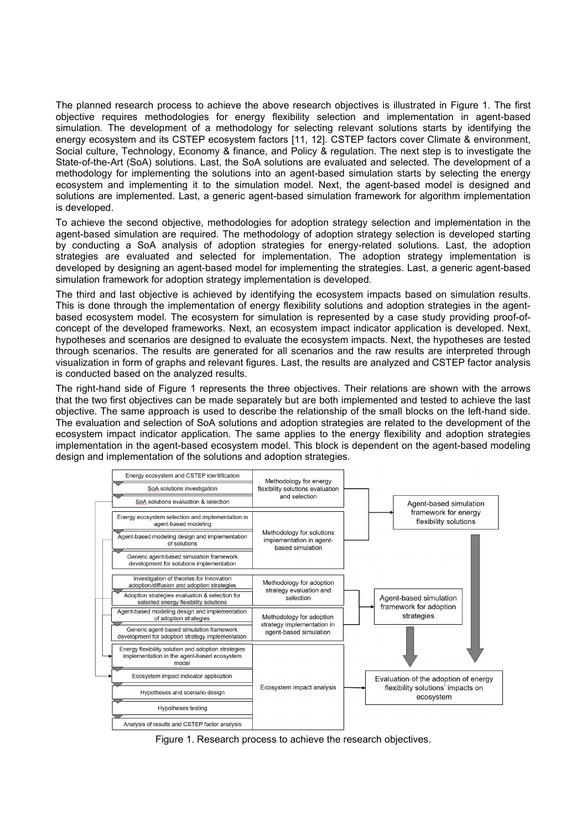The planned research process to achieve the above research objectives is illustrated in [Figure 1.](#page-2-0) The first objective requires methodologies for energy flexibility selection and implementation in agent-based simulation. The development of a methodology for selecting relevant solutions starts by identifying the energy ecosystem and its CSTEP ecosystem factors [11, 12]. CSTEP factors cover Climate & environment, Social culture, Technology, Economy & finance, and Policy & regulation. The next step is to investigate the State-of-the-Art (SoA) solutions. Last, the SoA solutions are evaluated and selected. The development of a methodology for implementing the solutions into an agent-based simulation starts by selecting the energy ecosystem and implementing it to the simulation model. Next, the agent-based model is designed and solutions are implemented. Last, a generic agent-based simulation framework for algorithm implementation is developed.

To achieve the second objective, methodologies for adoption strategy selection and implementation in the agent-based simulation are required. The methodology of adoption strategy selection is developed starting by conducting a SoA analysis of adoption strategies for energy-related solutions. Last, the adoption strategies are evaluated and selected for implementation. The adoption strategy implementation is developed by designing an agent-based model for implementing the strategies. Last, a generic agent-based simulation framework for adoption strategy implementation is developed.

The third and last objective is achieved by identifying the ecosystem impacts based on simulation results. This is done through the implementation of energy flexibility solutions and adoption strategies in the agentbased ecosystem model. The ecosystem for simulation is represented by a case study providing proof-ofconcept of the developed frameworks. Next, an ecosystem impact indicator application is developed. Next, hypotheses and scenarios are designed to evaluate the ecosystem impacts. Next, the hypotheses are tested through scenarios. The results are generated for all scenarios and the raw results are interpreted through visualization in form of graphs and relevant figures. Last, the results are analyzed and CSTEP factor analysis is conducted based on the analyzed results.

The right-hand side of [Figure 1](#page-2-0) represents the three objectives. Their relations are shown with the arrows that the two first objectives can be made separately but are both implemented and tested to achieve the last objective. The same approach is used to describe the relationship of the small blocks on the left-hand side. The evaluation and selection of SoA solutions and adoption strategies are related to the development of the ecosystem impact indicator application. The same applies to the energy flexibility and adoption strategies implementation in the agent-based ecosystem model. This block is dependent on the agent-based modeling design and implementation of the solutions and adoption strategies.



<span id="page-2-0"></span>Figure 1. Research process to achieve the research objectives.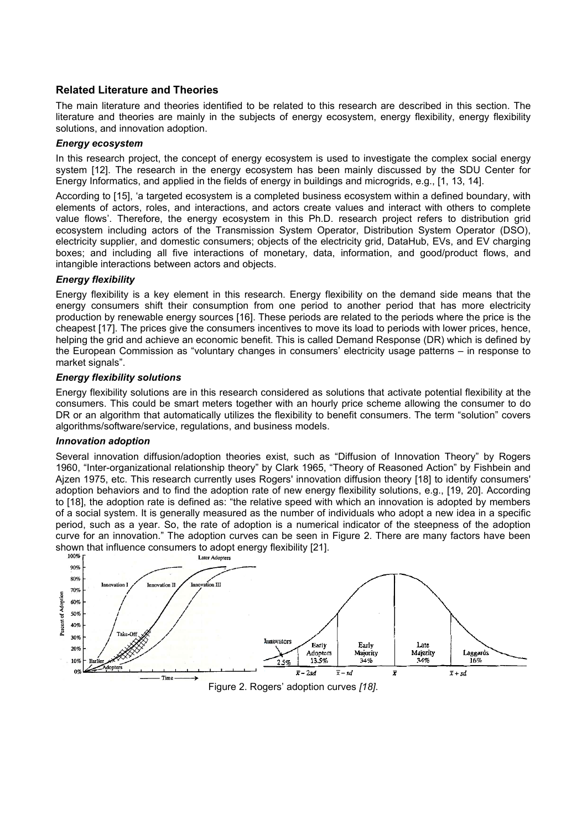## **Related Literature and Theories**

The main literature and theories identified to be related to this research are described in this section. The literature and theories are mainly in the subjects of energy ecosystem, energy flexibility, energy flexibility solutions, and innovation adoption.

#### *Energy ecosystem*

In this research project, the concept of energy ecosystem is used to investigate the complex social energy system [12]. The research in the energy ecosystem has been mainly discussed by the SDU Center for Energy Informatics, and applied in the fields of energy in buildings and microgrids, e.g., [1, 13, 14].

According to [15], 'a targeted ecosystem is a completed business ecosystem within a defined boundary, with elements of actors, roles, and interactions, and actors create values and interact with others to complete value flows'. Therefore, the energy ecosystem in this Ph.D. research project refers to distribution grid ecosystem including actors of the Transmission System Operator, Distribution System Operator (DSO), electricity supplier, and domestic consumers; objects of the electricity grid, DataHub, EVs, and EV charging boxes; and including all five interactions of monetary, data, information, and good/product flows, and intangible interactions between actors and objects.

## *Energy flexibility*

Energy flexibility is a key element in this research. Energy flexibility on the demand side means that the energy consumers shift their consumption from one period to another period that has more electricity production by renewable energy sources [16]. These periods are related to the periods where the price is the cheapest [17]. The prices give the consumers incentives to move its load to periods with lower prices, hence, helping the grid and achieve an economic benefit. This is called Demand Response (DR) which is defined by the European Commission as "voluntary changes in consumers' electricity usage patterns – in response to market signals".

#### *Energy flexibility solutions*

Energy flexibility solutions are in this research considered as solutions that activate potential flexibility at the consumers. This could be smart meters together with an hourly price scheme allowing the consumer to do DR or an algorithm that automatically utilizes the flexibility to benefit consumers. The term "solution" covers algorithms/software/service, regulations, and business models.

#### *Innovation adoption*

Several innovation diffusion/adoption theories exist, such as "Diffusion of Innovation Theory" by Rogers 1960, "Inter-organizational relationship theory" by Clark 1965, "Theory of Reasoned Action" by Fishbein and Ajzen 1975, etc. This research currently uses Rogers' innovation diffusion theory [18] to identify consumers' adoption behaviors and to find the adoption rate of new energy flexibility solutions, e.g., [19, 20]. According to [18], the adoption rate is defined as: "the relative speed with which an innovation is adopted by members of a social system. It is generally measured as the number of individuals who adopt a new idea in a specific period, such as a year. So, the rate of adoption is a numerical indicator of the steepness of the adoption curve for an innovation." The adoption curves can be seen in [Figure 2.](#page-3-0) There are many factors have been shown that influence consumers to adopt energy flexibility [21].<br> $I_{\text{after Adonters}}$ <br> $I_{\text{after Adonters}}$ 

<span id="page-3-0"></span>

Figure 2. Rogers' adoption curves *[18]*.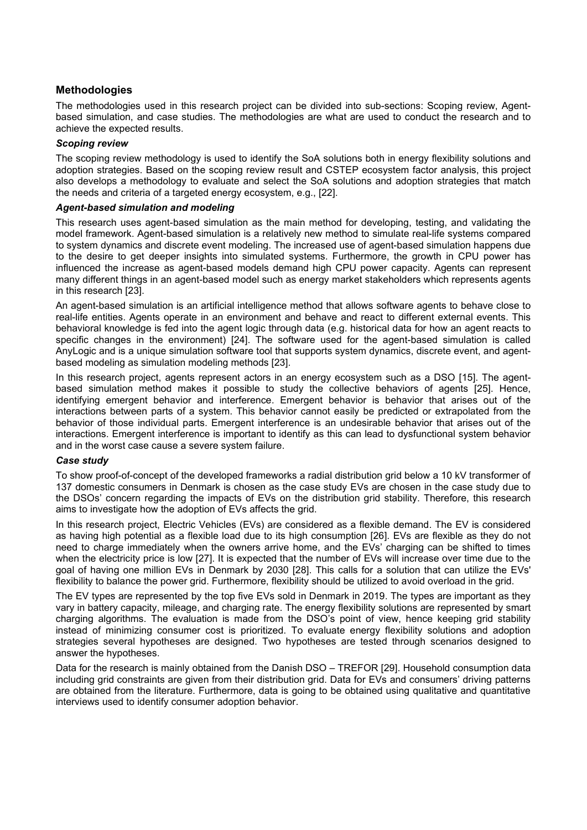## **Methodologies**

The methodologies used in this research project can be divided into sub-sections: Scoping review, Agentbased simulation, and case studies. The methodologies are what are used to conduct the research and to achieve the expected results.

#### *Scoping review*

The scoping review methodology is used to identify the SoA solutions both in energy flexibility solutions and adoption strategies. Based on the scoping review result and CSTEP ecosystem factor analysis, this project also develops a methodology to evaluate and select the SoA solutions and adoption strategies that match the needs and criteria of a targeted energy ecosystem, e.g., [22].

#### *Agent-based simulation and modeling*

This research uses agent-based simulation as the main method for developing, testing, and validating the model framework. Agent-based simulation is a relatively new method to simulate real-life systems compared to system dynamics and discrete event modeling. The increased use of agent-based simulation happens due to the desire to get deeper insights into simulated systems. Furthermore, the growth in CPU power has influenced the increase as agent-based models demand high CPU power capacity. Agents can represent many different things in an agent-based model such as energy market stakeholders which represents agents in this research [23].

An agent-based simulation is an artificial intelligence method that allows software agents to behave close to real-life entities. Agents operate in an environment and behave and react to different external events. This behavioral knowledge is fed into the agent logic through data (e.g. historical data for how an agent reacts to specific changes in the environment) [24]. The software used for the agent-based simulation is called AnyLogic and is a unique simulation software tool that supports system dynamics, discrete event, and agentbased modeling as simulation modeling methods [23].

In this research project, agents represent actors in an energy ecosystem such as a DSO [15]. The agentbased simulation method makes it possible to study the collective behaviors of agents [25]. Hence, identifying emergent behavior and interference. Emergent behavior is behavior that arises out of the interactions between parts of a system. This behavior cannot easily be predicted or extrapolated from the behavior of those individual parts. Emergent interference is an undesirable behavior that arises out of the interactions. Emergent interference is important to identify as this can lead to dysfunctional system behavior and in the worst case cause a severe system failure.

#### *Case study*

To show proof-of-concept of the developed frameworks a radial distribution grid below a 10 kV transformer of 137 domestic consumers in Denmark is chosen as the case study EVs are chosen in the case study due to the DSOs' concern regarding the impacts of EVs on the distribution grid stability. Therefore, this research aims to investigate how the adoption of EVs affects the grid.

In this research project, Electric Vehicles (EVs) are considered as a flexible demand. The EV is considered as having high potential as a flexible load due to its high consumption [26]. EVs are flexible as they do not need to charge immediately when the owners arrive home, and the EVs' charging can be shifted to times when the electricity price is low [27]. It is expected that the number of EVs will increase over time due to the goal of having one million EVs in Denmark by 2030 [28]. This calls for a solution that can utilize the EVs' flexibility to balance the power grid. Furthermore, flexibility should be utilized to avoid overload in the grid.

The EV types are represented by the top five EVs sold in Denmark in 2019. The types are important as they vary in battery capacity, mileage, and charging rate. The energy flexibility solutions are represented by smart charging algorithms. The evaluation is made from the DSO's point of view, hence keeping grid stability instead of minimizing consumer cost is prioritized. To evaluate energy flexibility solutions and adoption strategies several hypotheses are designed. Two hypotheses are tested through scenarios designed to answer the hypotheses.

Data for the research is mainly obtained from the Danish DSO – TREFOR [29]. Household consumption data including grid constraints are given from their distribution grid. Data for EVs and consumers' driving patterns are obtained from the literature. Furthermore, data is going to be obtained using qualitative and quantitative interviews used to identify consumer adoption behavior.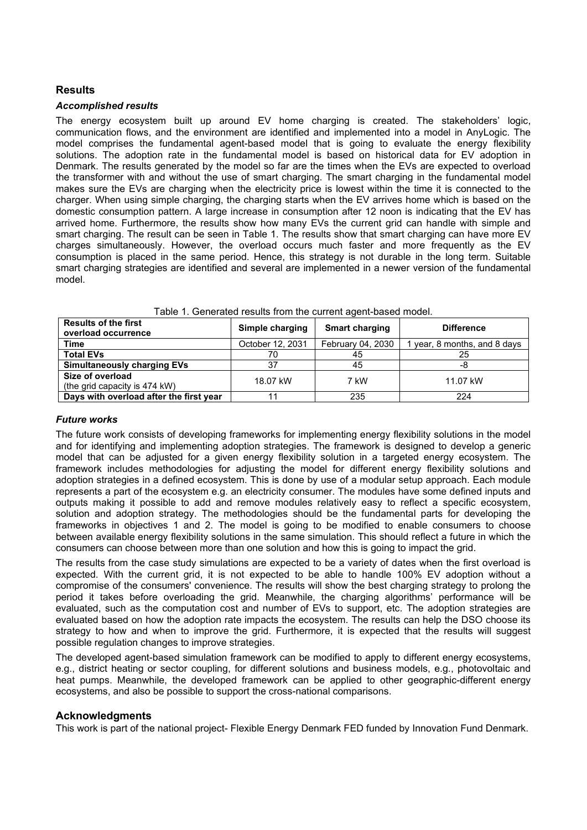## **Results**

#### *Accomplished results*

The energy ecosystem built up around EV home charging is created. The stakeholders' logic, communication flows, and the environment are identified and implemented into a model in AnyLogic. The model comprises the fundamental agent-based model that is going to evaluate the energy flexibility solutions. The adoption rate in the fundamental model is based on historical data for EV adoption in Denmark. The results generated by the model so far are the times when the EVs are expected to overload the transformer with and without the use of smart charging. The smart charging in the fundamental model makes sure the EVs are charging when the electricity price is lowest within the time it is connected to the charger. When using simple charging, the charging starts when the EV arrives home which is based on the domestic consumption pattern. A large increase in consumption after 12 noon is indicating that the EV has arrived home. Furthermore, the results show how many EVs the current grid can handle with simple and smart charging. The result can be seen in [Table 1.](#page-5-0) The results show that smart charging can have more EV charges simultaneously. However, the overload occurs much faster and more frequently as the EV consumption is placed in the same period. Hence, this strategy is not durable in the long term. Suitable smart charging strategies are identified and several are implemented in a newer version of the fundamental model.

<span id="page-5-0"></span>

| <b>Results of the first</b><br>overload occurrence | Simple charging  | <b>Smart charging</b> | <b>Difference</b>          |
|----------------------------------------------------|------------------|-----------------------|----------------------------|
| <b>Time</b>                                        | October 12, 2031 | February 04, 2030     | year, 8 months, and 8 days |
| <b>Total EVs</b>                                   | 70               | 45                    | 25                         |
| <b>Simultaneously charging EVs</b>                 | 37               | 45                    | -8                         |
| Size of overload                                   | 18.07 kW         | 7 kW                  | 11.07 kW                   |
| (the grid capacity is 474 kW)                      |                  |                       |                            |
| Days with overload after the first year            |                  | 235                   | 224                        |

#### *Future works*

The future work consists of developing frameworks for implementing energy flexibility solutions in the model and for identifying and implementing adoption strategies. The framework is designed to develop a generic model that can be adjusted for a given energy flexibility solution in a targeted energy ecosystem. The framework includes methodologies for adjusting the model for different energy flexibility solutions and adoption strategies in a defined ecosystem. This is done by use of a modular setup approach. Each module represents a part of the ecosystem e.g. an electricity consumer. The modules have some defined inputs and outputs making it possible to add and remove modules relatively easy to reflect a specific ecosystem, solution and adoption strategy. The methodologies should be the fundamental parts for developing the frameworks in objectives 1 and 2. The model is going to be modified to enable consumers to choose between available energy flexibility solutions in the same simulation. This should reflect a future in which the consumers can choose between more than one solution and how this is going to impact the grid.

The results from the case study simulations are expected to be a variety of dates when the first overload is expected. With the current grid, it is not expected to be able to handle 100% EV adoption without a compromise of the consumers' convenience. The results will show the best charging strategy to prolong the period it takes before overloading the grid. Meanwhile, the charging algorithms' performance will be evaluated, such as the computation cost and number of EVs to support, etc. The adoption strategies are evaluated based on how the adoption rate impacts the ecosystem. The results can help the DSO choose its strategy to how and when to improve the grid. Furthermore, it is expected that the results will suggest possible regulation changes to improve strategies.

The developed agent-based simulation framework can be modified to apply to different energy ecosystems, e.g., district heating or sector coupling, for different solutions and business models, e.g., photovoltaic and heat pumps. Meanwhile, the developed framework can be applied to other geographic-different energy ecosystems, and also be possible to support the cross-national comparisons.

#### **Acknowledgments**

This work is part of the national project- Flexible Energy Denmark FED funded by Innovation Fund Denmark.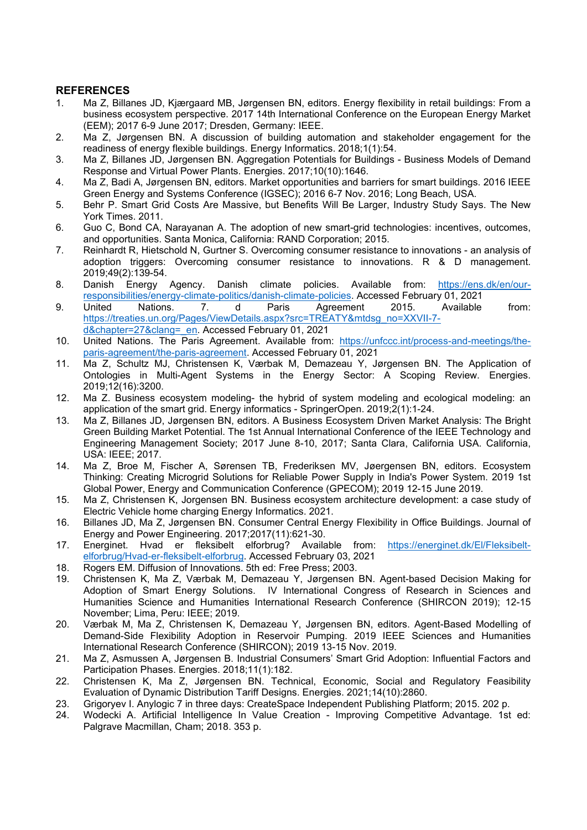## **REFERENCES**

- 1. Ma Z, Billanes JD, Kjærgaard MB, Jørgensen BN, editors. Energy flexibility in retail buildings: From a business ecosystem perspective. 2017 14th International Conference on the European Energy Market (EEM); 2017 6-9 June 2017; Dresden, Germany: IEEE.
- 2. Ma Z, Jørgensen BN. A discussion of building automation and stakeholder engagement for the readiness of energy flexible buildings. Energy Informatics. 2018;1(1):54.
- 3. Ma Z, Billanes JD, Jørgensen BN. Aggregation Potentials for Buildings Business Models of Demand Response and Virtual Power Plants. Energies. 2017;10(10):1646.
- 4. Ma Z, Badi A, Jørgensen BN, editors. Market opportunities and barriers for smart buildings. 2016 IEEE Green Energy and Systems Conference (IGSEC); 2016 6-7 Nov. 2016; Long Beach, USA.
- 5. Behr P. Smart Grid Costs Are Massive, but Benefits Will Be Larger, Industry Study Says. The New York Times. 2011.
- 6. Guo C, Bond CA, Narayanan A. The adoption of new smart-grid technologies: incentives, outcomes, and opportunities. Santa Monica, California: RAND Corporation; 2015.
- 7. Reinhardt R, Hietschold N, Gurtner S. Overcoming consumer resistance to innovations an analysis of adoption triggers: Overcoming consumer resistance to innovations. R & D management. 2019;49(2):139-54.
- 8. Danish Energy Agency. Danish climate policies. Available from: [https://ens.dk/en/our](https://ens.dk/en/our-responsibilities/energy-climate-politics/danish-climate-policies)[responsibilities/energy-climate-politics/danish-climate-policies.](https://ens.dk/en/our-responsibilities/energy-climate-politics/danish-climate-policies) Accessed February 01, 2021
- 9. United Nations. 7. d Paris Agreement 2015. Available from: [https://treaties.un.org/Pages/ViewDetails.aspx?src=TREATY&mtdsg\\_no=XXVII-7](https://treaties.un.org/Pages/ViewDetails.aspx?src=TREATY&mtdsg_no=XXVII-7-d&chapter=27&clang=_en) [d&chapter=27&clang=\\_en.](https://treaties.un.org/Pages/ViewDetails.aspx?src=TREATY&mtdsg_no=XXVII-7-d&chapter=27&clang=_en) Accessed February 01, 2021
- 10. United Nations. The Paris Agreement. Available from: [https://unfccc.int/process-and-meetings/the](https://unfccc.int/process-and-meetings/the-paris-agreement/the-paris-agreement)[paris-agreement/the-paris-agreement.](https://unfccc.int/process-and-meetings/the-paris-agreement/the-paris-agreement) Accessed February 01, 2021
- 11. Ma Z, Schultz MJ, Christensen K, Værbak M, Demazeau Y, Jørgensen BN. The Application of Ontologies in Multi-Agent Systems in the Energy Sector: A Scoping Review. Energies. 2019;12(16):3200.
- 12. Ma Z. Business ecosystem modeling- the hybrid of system modeling and ecological modeling: an application of the smart grid. Energy informatics - SpringerOpen. 2019;2(1):1-24.
- 13. Ma Z, Billanes JD, Jørgensen BN, editors. A Business Ecosystem Driven Market Analysis: The Bright Green Building Market Potential. The 1st Annual International Conference of the IEEE Technology and Engineering Management Society; 2017 June 8-10, 2017; Santa Clara, California USA. California, USA: IEEE; 2017.
- 14. Ma Z, Broe M, Fischer A, Sørensen TB, Frederiksen MV, Jøergensen BN, editors. Ecosystem Thinking: Creating Microgrid Solutions for Reliable Power Supply in India's Power System. 2019 1st Global Power, Energy and Communication Conference (GPECOM); 2019 12-15 June 2019.
- 15. Ma Z, Christensen K, Jorgensen BN. Business ecosystem architecture development: a case study of Electric Vehicle home charging Energy Informatics. 2021.
- 16. Billanes JD, Ma Z, Jørgensen BN. Consumer Central Energy Flexibility in Office Buildings. Journal of Energy and Power Engineering. 2017;2017(11):621-30.
- 17. Energinet. Hvad er fleksibelt elforbrug? Available from: [https://energinet.dk/El/Fleksibelt](https://energinet.dk/El/Fleksibelt-elforbrug/Hvad-er-fleksibelt-elforbrug)[elforbrug/Hvad-er-fleksibelt-elforbrug.](https://energinet.dk/El/Fleksibelt-elforbrug/Hvad-er-fleksibelt-elforbrug) Accessed February 03, 2021
- 18. Rogers EM. Diffusion of Innovations. 5th ed: Free Press; 2003.<br>19. Christensen K. Ma. Z. Værbak M. Demazeau Y. Jørgensen
- 19. Christensen K, Ma Z, Værbak M, Demazeau Y, Jørgensen BN. Agent-based Decision Making for Adoption of Smart Energy Solutions. IV International Congress of Research in Sciences and Humanities Science and Humanities International Research Conference (SHIRCON 2019); 12-15 November; Lima, Peru: IEEE; 2019.
- 20. Værbak M, Ma Z, Christensen K, Demazeau Y, Jørgensen BN, editors. Agent-Based Modelling of Demand-Side Flexibility Adoption in Reservoir Pumping. 2019 IEEE Sciences and Humanities International Research Conference (SHIRCON); 2019 13-15 Nov. 2019.
- 21. Ma Z, Asmussen A, Jørgensen B. Industrial Consumers' Smart Grid Adoption: Influential Factors and Participation Phases. Energies. 2018;11(1):182.
- 22. Christensen K, Ma Z, Jørgensen BN. Technical, Economic, Social and Regulatory Feasibility Evaluation of Dynamic Distribution Tariff Designs. Energies. 2021;14(10):2860.
- 23. Grigoryev I. Anylogic 7 in three days: CreateSpace Independent Publishing Platform; 2015. 202 p.
- 24. Wodecki A. Artificial Intelligence In Value Creation Improving Competitive Advantage. 1st ed: Palgrave Macmillan, Cham; 2018. 353 p.